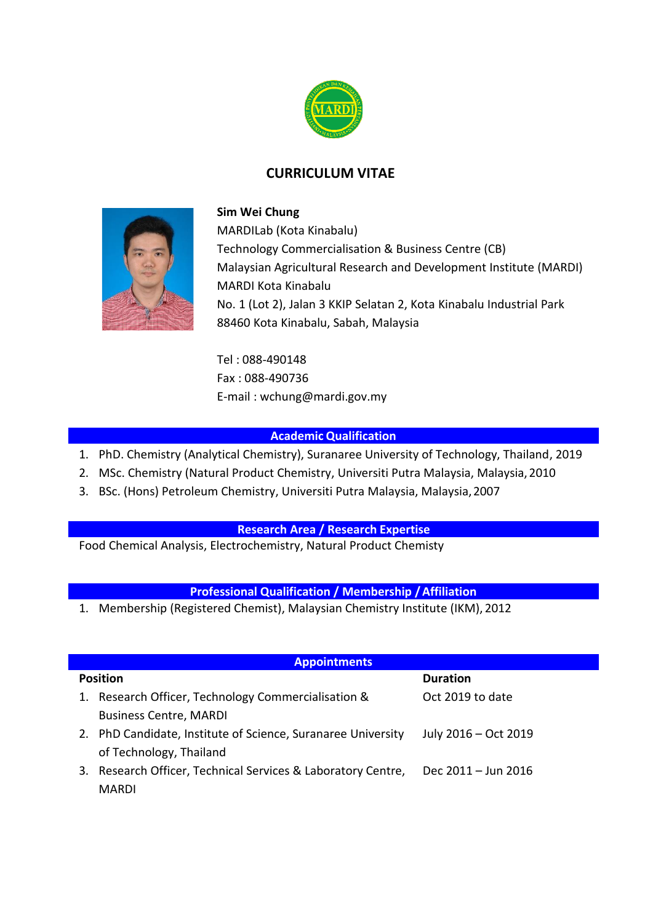

# **CURRICULUM VITAE**



### **Sim Wei Chung**

MARDILab (Kota Kinabalu) Technology Commercialisation & Business Centre (CB) Malaysian Agricultural Research and Development Institute (MARDI) MARDI Kota Kinabalu No. 1 (Lot 2), Jalan 3 KKIP Selatan 2, Kota Kinabalu Industrial Park 88460 Kota Kinabalu, Sabah, Malaysia

Tel : 088-490148 Fax : 088-490736 E-mail : wchung@mardi.gov.my

### **Academic Qualification**

- 1. PhD. Chemistry (Analytical Chemistry), Suranaree University of Technology, Thailand, 2019
- 2. MSc. Chemistry (Natural Product Chemistry, Universiti Putra Malaysia, Malaysia,2010
- 3. BSc. (Hons) Petroleum Chemistry, Universiti Putra Malaysia, Malaysia,2007

### **Research Area / Research Expertise**

Food Chemical Analysis, Electrochemistry, Natural Product Chemisty

### **Professional Qualification / Membership /Affiliation**

1. Membership (Registered Chemist), Malaysian Chemistry Institute (IKM), 2012

| <b>Appointments</b> |                                                              |                      |  |  |  |  |
|---------------------|--------------------------------------------------------------|----------------------|--|--|--|--|
| <b>Position</b>     |                                                              | <b>Duration</b>      |  |  |  |  |
|                     | 1. Research Officer, Technology Commercialisation &          | Oct 2019 to date     |  |  |  |  |
|                     | <b>Business Centre, MARDI</b>                                |                      |  |  |  |  |
|                     | 2. PhD Candidate, Institute of Science, Suranaree University | July 2016 - Oct 2019 |  |  |  |  |
|                     | of Technology, Thailand                                      |                      |  |  |  |  |
| 3.                  | Research Officer, Technical Services & Laboratory Centre,    | Dec 2011 - Jun 2016  |  |  |  |  |
|                     | <b>MARDI</b>                                                 |                      |  |  |  |  |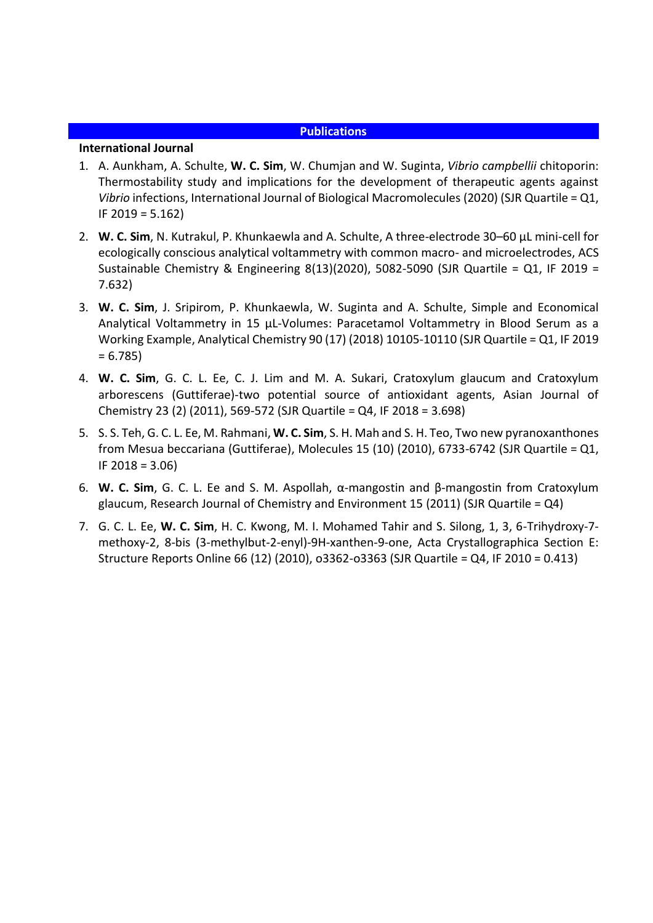#### **Publications**

#### **International Journal**

- 1. A. Aunkham, A. Schulte, **W. C. Sim**, W. Chumjan and W. Suginta, *Vibrio campbellii* chitoporin: Thermostability study and implications for the development of therapeutic agents against *Vibrio* infections, International Journal of Biological Macromolecules (2020) (SJR Quartile = Q1, IF 2019 = 5.162)
- 2. **W. C. Sim**, N. Kutrakul, P. Khunkaewla and A. Schulte, A three-electrode 30–60 µL mini-cell for ecologically conscious analytical voltammetry with common macro- and microelectrodes, ACS Sustainable Chemistry & Engineering 8(13)(2020), 5082-5090 (SJR Quartile = Q1, IF 2019 = 7.632)
- 3. **W. C. Sim**, J. Sripirom, P. Khunkaewla, W. Suginta and A. Schulte, Simple and Economical Analytical Voltammetry in 15 µL-Volumes: Paracetamol Voltammetry in Blood Serum as a Working Example, Analytical Chemistry 90 (17) (2018) 10105-10110 (SJR Quartile = Q1, IF 2019  $= 6.785$
- 4. **W. C. Sim**, G. C. L. Ee, C. J. Lim and M. A. Sukari, Cratoxylum glaucum and Cratoxylum arborescens (Guttiferae)-two potential source of antioxidant agents, Asian Journal of Chemistry 23 (2) (2011), 569-572 (SJR Quartile = Q4, IF 2018 = 3.698)
- 5. S. S. Teh, G. C. L. Ee, M. Rahmani, **W. C. Sim**, S. H. Mah and S. H. Teo, Two new pyranoxanthones from Mesua beccariana (Guttiferae), Molecules 15 (10) (2010), 6733-6742 (SJR Quartile = Q1, IF 2018 = 3.06)
- 6. **W. C. Sim**, G. C. L. Ee and S. M. Aspollah, α-mangostin and β-mangostin from Cratoxylum glaucum, Research Journal of Chemistry and Environment 15 (2011) (SJR Quartile = Q4)
- 7. G. C. L. Ee, **W. C. Sim**, H. C. Kwong, M. I. Mohamed Tahir and S. Silong, 1, 3, 6-Trihydroxy-7 methoxy-2, 8-bis (3-methylbut-2-enyl)-9H-xanthen-9-one, Acta Crystallographica Section E: Structure Reports Online 66 (12) (2010), o3362-o3363 (SJR Quartile = Q4, IF 2010 = 0.413)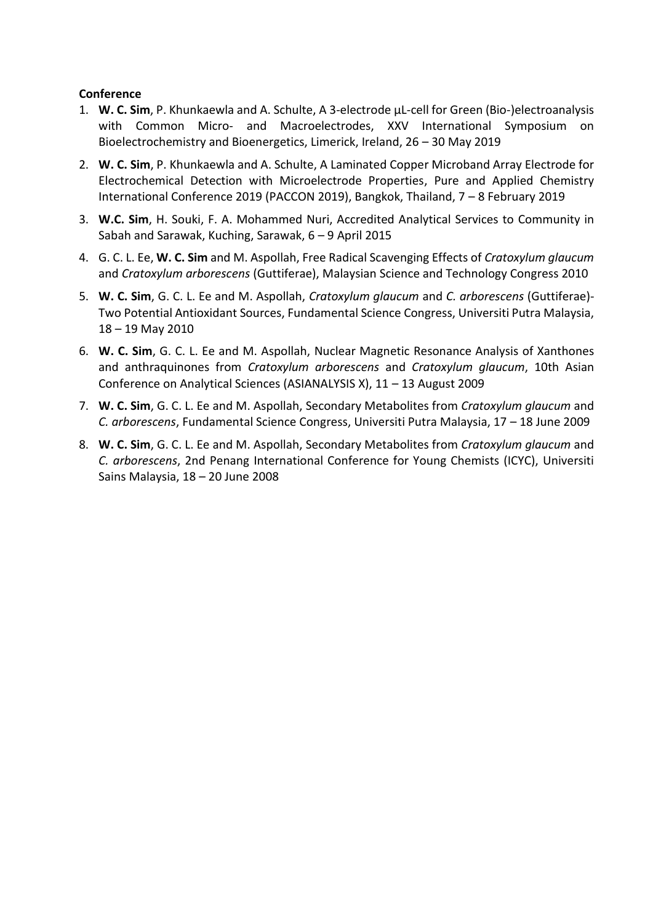### **Conference**

- 1. **W. C. Sim**, P. Khunkaewla and A. Schulte, A 3-electrode µL-cell for Green (Bio-)electroanalysis with Common Micro- and Macroelectrodes, XXV International Symposium on Bioelectrochemistry and Bioenergetics, Limerick, Ireland, 26 – 30 May 2019
- 2. **W. C. Sim**, P. Khunkaewla and A. Schulte, A Laminated Copper Microband Array Electrode for Electrochemical Detection with Microelectrode Properties, Pure and Applied Chemistry International Conference 2019 (PACCON 2019), Bangkok, Thailand, 7 – 8 February 2019
- 3. **W.C. Sim**, H. Souki, F. A. Mohammed Nuri, Accredited Analytical Services to Community in Sabah and Sarawak, Kuching, Sarawak, 6 – 9 April 2015
- 4. G. C. L. Ee, **W. C. Sim** and M. Aspollah, Free Radical Scavenging Effects of *Cratoxylum glaucum* and *Cratoxylum arborescens* (Guttiferae), Malaysian Science and Technology Congress 2010
- 5. **W. C. Sim**, G. C. L. Ee and M. Aspollah, *Cratoxylum glaucum* and *C. arborescens* (Guttiferae)- Two Potential Antioxidant Sources, Fundamental Science Congress, Universiti Putra Malaysia, 18 – 19 May 2010
- 6. **W. C. Sim**, G. C. L. Ee and M. Aspollah, Nuclear Magnetic Resonance Analysis of Xanthones and anthraquinones from *Cratoxylum arborescens* and *Cratoxylum glaucum*, 10th Asian Conference on Analytical Sciences (ASIANALYSIS X), 11 – 13 August 2009
- 7. **W. C. Sim**, G. C. L. Ee and M. Aspollah, Secondary Metabolites from *Cratoxylum glaucum* and *C. arborescens*, Fundamental Science Congress, Universiti Putra Malaysia, 17 – 18 June 2009
- 8. **W. C. Sim**, G. C. L. Ee and M. Aspollah, Secondary Metabolites from *Cratoxylum glaucum* and *C. arborescens*, 2nd Penang International Conference for Young Chemists (ICYC), Universiti Sains Malaysia, 18 – 20 June 2008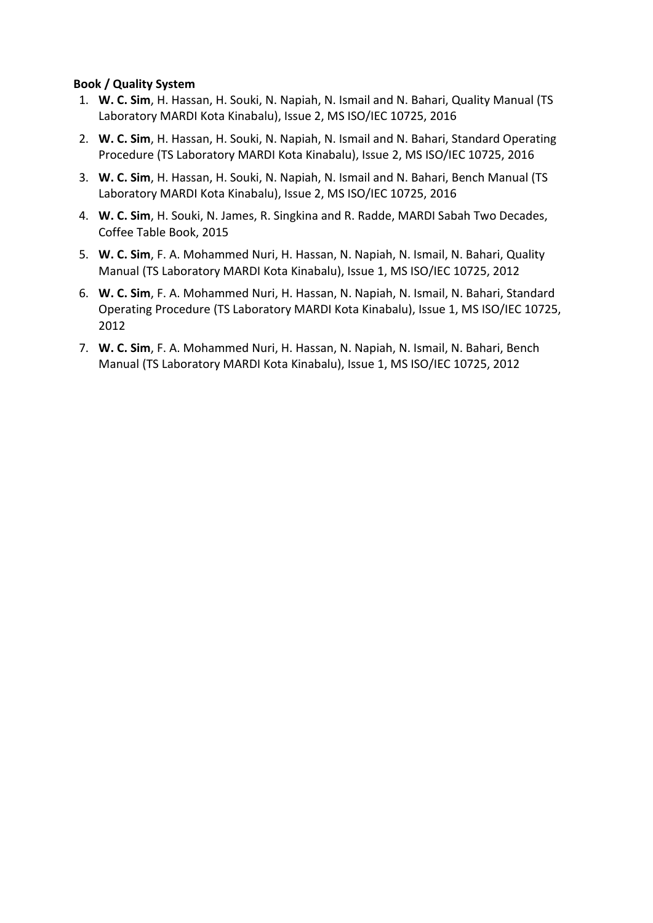### **Book / Quality System**

- 1. **W. C. Sim**, H. Hassan, H. Souki, N. Napiah, N. Ismail and N. Bahari, Quality Manual (TS Laboratory MARDI Kota Kinabalu), Issue 2, MS ISO/IEC 10725, 2016
- 2. **W. C. Sim**, H. Hassan, H. Souki, N. Napiah, N. Ismail and N. Bahari, Standard Operating Procedure (TS Laboratory MARDI Kota Kinabalu), Issue 2, MS ISO/IEC 10725, 2016
- 3. **W. C. Sim**, H. Hassan, H. Souki, N. Napiah, N. Ismail and N. Bahari, Bench Manual (TS Laboratory MARDI Kota Kinabalu), Issue 2, MS ISO/IEC 10725, 2016
- 4. **W. C. Sim**, H. Souki, N. James, R. Singkina and R. Radde, MARDI Sabah Two Decades, Coffee Table Book, 2015
- 5. **W. C. Sim**, F. A. Mohammed Nuri, H. Hassan, N. Napiah, N. Ismail, N. Bahari, Quality Manual (TS Laboratory MARDI Kota Kinabalu), Issue 1, MS ISO/IEC 10725, 2012
- 6. **W. C. Sim**, F. A. Mohammed Nuri, H. Hassan, N. Napiah, N. Ismail, N. Bahari, Standard Operating Procedure (TS Laboratory MARDI Kota Kinabalu), Issue 1, MS ISO/IEC 10725, 2012
- 7. **W. C. Sim**, F. A. Mohammed Nuri, H. Hassan, N. Napiah, N. Ismail, N. Bahari, Bench Manual (TS Laboratory MARDI Kota Kinabalu), Issue 1, MS ISO/IEC 10725, 2012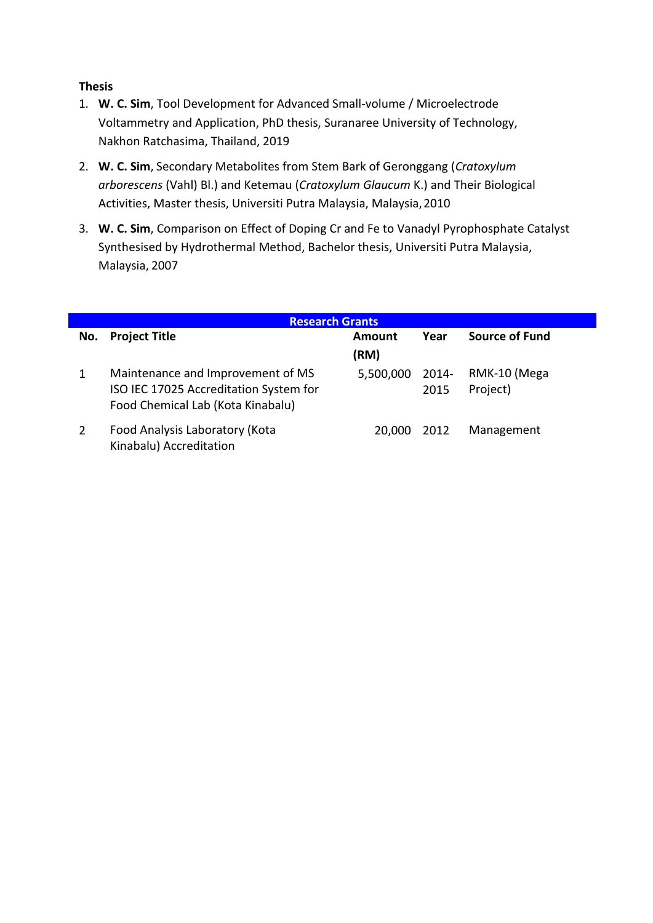## **Thesis**

- 1. **W. C. Sim**, Tool Development for Advanced Small-volume / Microelectrode Voltammetry and Application, PhD thesis, Suranaree University of Technology, Nakhon Ratchasima, Thailand, 2019
- 2. **W. C. Sim**, Secondary Metabolites from Stem Bark of Geronggang (*Cratoxylum arborescens* (Vahl) Bl.) and Ketemau (*Cratoxylum Glaucum* K.) and Their Biological Activities, Master thesis, Universiti Putra Malaysia, Malaysia,2010
- 3. **W. C. Sim**, Comparison on Effect of Doping Cr and Fe to Vanadyl Pyrophosphate Catalyst Synthesised by Hydrothermal Method, Bachelor thesis, Universiti Putra Malaysia, Malaysia, 2007

| <b>Research Grants</b> |                                                                                                                  |           |                  |                          |  |  |  |  |
|------------------------|------------------------------------------------------------------------------------------------------------------|-----------|------------------|--------------------------|--|--|--|--|
| No.                    | <b>Project Title</b>                                                                                             | Amount    | Year             | Source of Fund           |  |  |  |  |
|                        |                                                                                                                  | (RM)      |                  |                          |  |  |  |  |
|                        | Maintenance and Improvement of MS<br>ISO IEC 17025 Accreditation System for<br>Food Chemical Lab (Kota Kinabalu) | 5,500,000 | $2014 -$<br>2015 | RMK-10 (Mega<br>Project) |  |  |  |  |
|                        | Food Analysis Laboratory (Kota<br>Kinabalu) Accreditation                                                        | 20.000    | 2012             | Management               |  |  |  |  |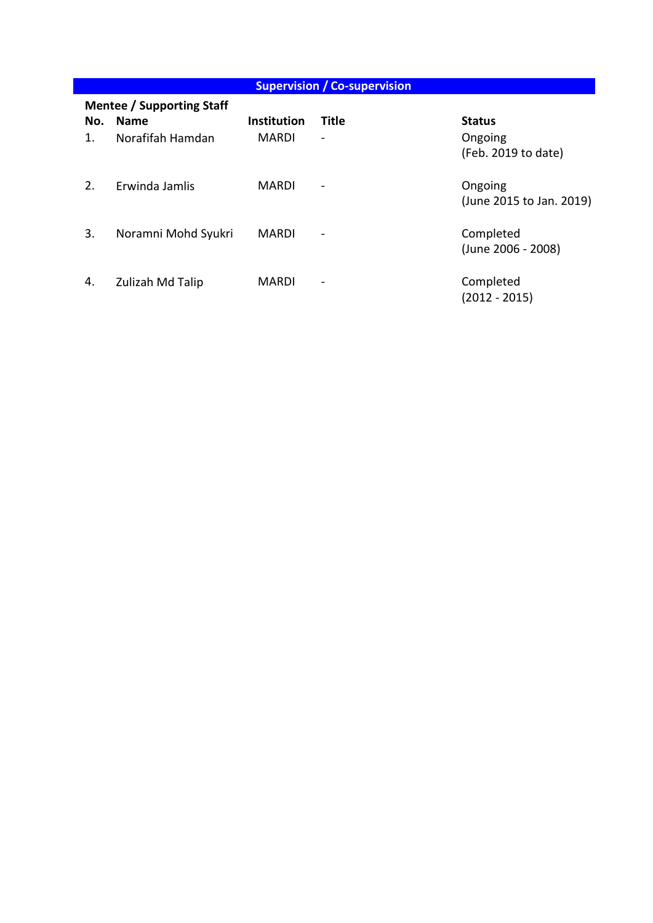| <b>Supervision / Co-supervision</b> |                     |                    |                          |                          |  |  |  |  |  |
|-------------------------------------|---------------------|--------------------|--------------------------|--------------------------|--|--|--|--|--|
| <b>Mentee / Supporting Staff</b>    |                     |                    |                          |                          |  |  |  |  |  |
| No.                                 | <b>Name</b>         | <b>Institution</b> | <b>Title</b>             | <b>Status</b>            |  |  |  |  |  |
| 1.                                  | Norafifah Hamdan    | <b>MARDI</b>       | $\overline{\phantom{a}}$ | Ongoing                  |  |  |  |  |  |
|                                     |                     |                    |                          | (Feb. 2019 to date)      |  |  |  |  |  |
|                                     |                     |                    |                          |                          |  |  |  |  |  |
| 2.                                  | Erwinda Jamlis      | <b>MARDI</b>       | $\overline{\phantom{a}}$ | Ongoing                  |  |  |  |  |  |
|                                     |                     |                    |                          | (June 2015 to Jan. 2019) |  |  |  |  |  |
| 3.                                  | Noramni Mohd Syukri | <b>MARDI</b>       | $\overline{\phantom{a}}$ | Completed                |  |  |  |  |  |
|                                     |                     |                    |                          | (June 2006 - 2008)       |  |  |  |  |  |
|                                     |                     |                    |                          |                          |  |  |  |  |  |
| 4.                                  | Zulizah Md Talip    | <b>MARDI</b>       | $\overline{\phantom{a}}$ | Completed                |  |  |  |  |  |
|                                     |                     |                    |                          | $(2012 - 2015)$          |  |  |  |  |  |